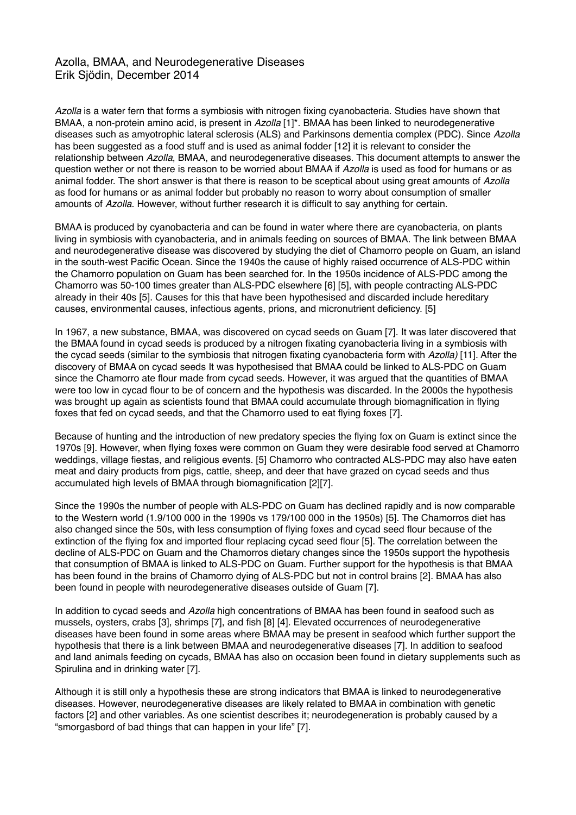## Azolla, BMAA, and Neurodegenerative Diseases Erik Sjödin, December 2014

*Azolla* is a water fern that forms a symbiosis with nitrogen fixing cyanobacteria. Studies have shown that BMAA, a non-protein amino acid, is present in *Azolla* [1]\*. BMAA has been linked to neurodegenerative diseases such as amyotrophic lateral sclerosis (ALS) and Parkinsons dementia complex (PDC). Since *Azolla* has been suggested as a food stuff and is used as animal fodder [12] it is relevant to consider the relationship between *Azolla*, BMAA, and neurodegenerative diseases. This document attempts to answer the question wether or not there is reason to be worried about BMAA if *Azolla* is used as food for humans or as animal fodder. The short answer is that there is reason to be sceptical about using great amounts of *Azolla* as food for humans or as animal fodder but probably no reason to worry about consumption of smaller amounts of *Azolla*. However, without further research it is difficult to say anything for certain.

BMAA is produced by cyanobacteria and can be found in water where there are cyanobacteria, on plants living in symbiosis with cyanobacteria, and in animals feeding on sources of BMAA. The link between BMAA and neurodegenerative disease was discovered by studying the diet of Chamorro people on Guam, an island in the south-west Pacific Ocean. Since the 1940s the cause of highly raised occurrence of ALS-PDC within the Chamorro population on Guam has been searched for. In the 1950s incidence of ALS-PDC among the Chamorro was 50-100 times greater than ALS-PDC elsewhere [6] [5], with people contracting ALS-PDC already in their 40s [5]. Causes for this that have been hypothesised and discarded include hereditary causes, environmental causes, infectious agents, prions, and micronutrient deficiency. [5]

In 1967, a new substance, BMAA, was discovered on cycad seeds on Guam [7]. It was later discovered that the BMAA found in cycad seeds is produced by a nitrogen fixating cyanobacteria living in a symbiosis with the cycad seeds (similar to the symbiosis that nitrogen fixating cyanobacteria form with *Azolla)* [11]. After the discovery of BMAA on cycad seeds It was hypothesised that BMAA could be linked to ALS-PDC on Guam since the Chamorro ate flour made from cycad seeds. However, it was argued that the quantities of BMAA were too low in cycad flour to be of concern and the hypothesis was discarded. In the 2000s the hypothesis was brought up again as scientists found that BMAA could accumulate through biomagnification in flying foxes that fed on cycad seeds, and that the Chamorro used to eat flying foxes [7].

Because of hunting and the introduction of new predatory species the flying fox on Guam is extinct since the 1970s [9]. However, when flying foxes were common on Guam they were desirable food served at Chamorro weddings, village fiestas, and religious events. [5] Chamorro who contracted ALS-PDC may also have eaten meat and dairy products from pigs, cattle, sheep, and deer that have grazed on cycad seeds and thus accumulated high levels of BMAA through biomagnification [2][7].

Since the 1990s the number of people with ALS-PDC on Guam has declined rapidly and is now comparable to the Western world (1.9/100 000 in the 1990s vs 179/100 000 in the 1950s) [5]. The Chamorros diet has also changed since the 50s, with less consumption of flying foxes and cycad seed flour because of the extinction of the flying fox and imported flour replacing cycad seed flour [5]. The correlation between the decline of ALS-PDC on Guam and the Chamorros dietary changes since the 1950s support the hypothesis that consumption of BMAA is linked to ALS-PDC on Guam. Further support for the hypothesis is that BMAA has been found in the brains of Chamorro dying of ALS-PDC but not in control brains [2]. BMAA has also been found in people with neurodegenerative diseases outside of Guam [7].

In addition to cycad seeds and *Azolla* high concentrations of BMAA has been found in seafood such as mussels, oysters, crabs [3], shrimps [7], and fish [8] [4]. Elevated occurrences of neurodegenerative diseases have been found in some areas where BMAA may be present in seafood which further support the hypothesis that there is a link between BMAA and neurodegenerative diseases [7]. In addition to seafood and land animals feeding on cycads, BMAA has also on occasion been found in dietary supplements such as Spirulina and in drinking water [7].

Although it is still only a hypothesis these are strong indicators that BMAA is linked to neurodegenerative diseases. However, neurodegenerative diseases are likely related to BMAA in combination with genetic factors [2] and other variables. As one scientist describes it; neurodegeneration is probably caused by a "smorgasbord of bad things that can happen in your life" [7].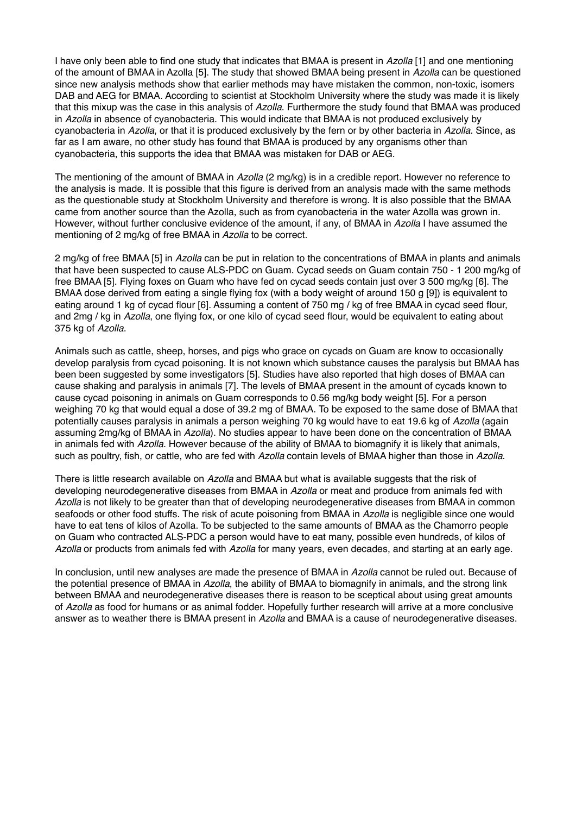I have only been able to find one study that indicates that BMAA is present in *Azolla* [1] and one mentioning of the amount of BMAA in Azolla [5]. The study that showed BMAA being present in *Azolla* can be questioned since new analysis methods show that earlier methods may have mistaken the common, non-toxic, isomers DAB and AEG for BMAA. According to scientist at Stockholm University where the study was made it is likely that this mixup was the case in this analysis of *Azolla*. Furthermore the study found that BMAA was produced in *Azolla* in absence of cyanobacteria. This would indicate that BMAA is not produced exclusively by cyanobacteria in *Azolla*, or that it is produced exclusively by the fern or by other bacteria in *Azolla*. Since, as far as I am aware, no other study has found that BMAA is produced by any organisms other than cyanobacteria, this supports the idea that BMAA was mistaken for DAB or AEG.

The mentioning of the amount of BMAA in *Azolla* (2 mg/kg) is in a credible report. However no reference to the analysis is made. It is possible that this figure is derived from an analysis made with the same methods as the questionable study at Stockholm University and therefore is wrong. It is also possible that the BMAA came from another source than the Azolla, such as from cyanobacteria in the water Azolla was grown in. However, without further conclusive evidence of the amount, if any, of BMAA in *Azolla* I have assumed the mentioning of 2 mg/kg of free BMAA in *Azolla* to be correct.

2 mg/kg of free BMAA [5] in *Azolla* can be put in relation to the concentrations of BMAA in plants and animals that have been suspected to cause ALS-PDC on Guam. Cycad seeds on Guam contain 750 - 1 200 mg/kg of free BMAA [5]. Flying foxes on Guam who have fed on cycad seeds contain just over 3 500 mg/kg [6]. The BMAA dose derived from eating a single flying fox (with a body weight of around 150 g [9]) is equivalent to eating around 1 kg of cycad flour [6]. Assuming a content of 750 mg / kg of free BMAA in cycad seed flour, and 2mg / kg in *Azolla*, one flying fox, or one kilo of cycad seed flour, would be equivalent to eating about 375 kg of *Azolla*.

Animals such as cattle, sheep, horses, and pigs who grace on cycads on Guam are know to occasionally develop paralysis from cycad poisoning. It is not known which substance causes the paralysis but BMAA has been been suggested by some investigators [5]. Studies have also reported that high doses of BMAA can cause shaking and paralysis in animals [7]. The levels of BMAA present in the amount of cycads known to cause cycad poisoning in animals on Guam corresponds to 0.56 mg/kg body weight [5]. For a person weighing 70 kg that would equal a dose of 39.2 mg of BMAA. To be exposed to the same dose of BMAA that potentially causes paralysis in animals a person weighing 70 kg would have to eat 19.6 kg of *Azolla* (again assuming 2mg/kg of BMAA in *Azolla*). No studies appear to have been done on the concentration of BMAA in animals fed with *Azolla*. However because of the ability of BMAA to biomagnify it is likely that animals, such as poultry, fish, or cattle, who are fed with *Azolla* contain levels of BMAA higher than those in *Azolla*.

There is little research available on *Azolla* and BMAA but what is available suggests that the risk of developing neurodegenerative diseases from BMAA in *Azolla* or meat and produce from animals fed with *Azolla* is not likely to be greater than that of developing neurodegenerative diseases from BMAA in common seafoods or other food stuffs. The risk of acute poisoning from BMAA in *Azolla* is negligible since one would have to eat tens of kilos of Azolla. To be subjected to the same amounts of BMAA as the Chamorro people on Guam who contracted ALS-PDC a person would have to eat many, possible even hundreds, of kilos of *Azolla* or products from animals fed with *Azolla* for many years, even decades, and starting at an early age.

In conclusion, until new analyses are made the presence of BMAA in *Azolla* cannot be ruled out. Because of the potential presence of BMAA in *Azolla*, the ability of BMAA to biomagnify in animals, and the strong link between BMAA and neurodegenerative diseases there is reason to be sceptical about using great amounts of *Azolla* as food for humans or as animal fodder. Hopefully further research will arrive at a more conclusive answer as to weather there is BMAA present in *Azolla* and BMAA is a cause of neurodegenerative diseases.